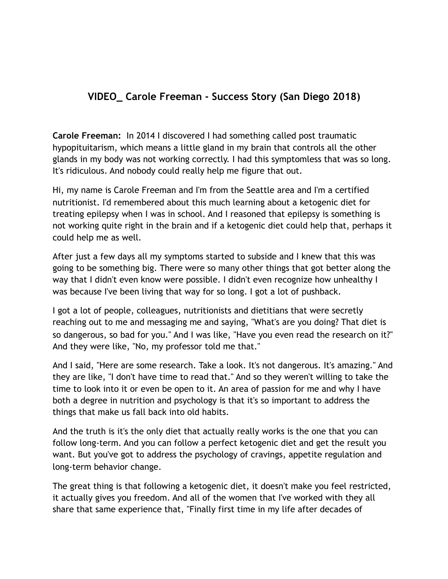## **VIDEO\_ Carole Freeman - Success Story (San Diego 2018)**

**Carole Freeman:** In 2014 I discovered I had something called post traumatic hypopituitarism, which means a little gland in my brain that controls all the other glands in my body was not working correctly. I had this symptomless that was so long. It's ridiculous. And nobody could really help me figure that out.

Hi, my name is Carole Freeman and I'm from the Seattle area and I'm a certified nutritionist. I'd remembered about this much learning about a ketogenic diet for treating epilepsy when I was in school. And I reasoned that epilepsy is something is not working quite right in the brain and if a ketogenic diet could help that, perhaps it could help me as well.

After just a few days all my symptoms started to subside and I knew that this was going to be something big. There were so many other things that got better along the way that I didn't even know were possible. I didn't even recognize how unhealthy I was because I've been living that way for so long. I got a lot of pushback.

I got a lot of people, colleagues, nutritionists and dietitians that were secretly reaching out to me and messaging me and saying, "What's are you doing? That diet is so dangerous, so bad for you." And I was like, "Have you even read the research on it?" And they were like, "No, my professor told me that."

And I said, "Here are some research. Take a look. It's not dangerous. It's amazing." And they are like, "I don't have time to read that." And so they weren't willing to take the time to look into it or even be open to it. An area of passion for me and why I have both a degree in nutrition and psychology is that it's so important to address the things that make us fall back into old habits.

And the truth is it's the only diet that actually really works is the one that you can follow long-term. And you can follow a perfect ketogenic diet and get the result you want. But you've got to address the psychology of cravings, appetite regulation and long-term behavior change.

The great thing is that following a ketogenic diet, it doesn't make you feel restricted, it actually gives you freedom. And all of the women that I've worked with they all share that same experience that, "Finally first time in my life after decades of